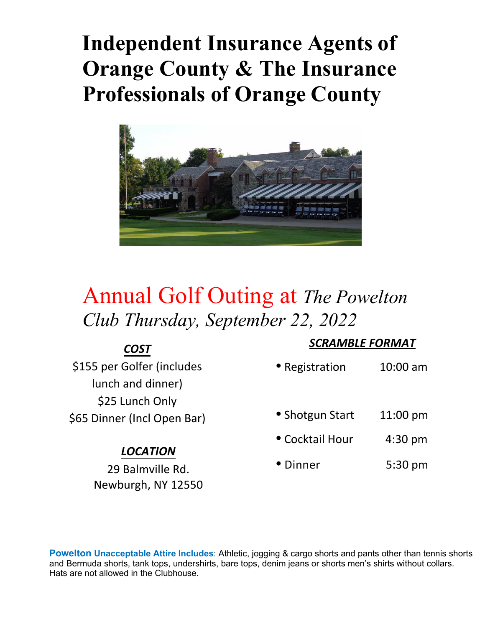# **Independent Insurance Agents of Orange County & The Insurance Professionals of Orange County**



## Annual Golf Outing at *The Powelton Club Thursday, September 22, 2022*

| COST                        |                 | <b>SCRAMBLE FORMAT</b> |  |
|-----------------------------|-----------------|------------------------|--|
| \$155 per Golfer (includes  | • Registration  | $10:00$ am             |  |
| lunch and dinner)           |                 |                        |  |
| \$25 Lunch Only             |                 |                        |  |
| \$65 Dinner (Incl Open Bar) | • Shotgun Start | $11:00 \text{ pm}$     |  |
| <b>LOCATION</b>             | • Cocktail Hour | $4:30$ pm              |  |
|                             |                 |                        |  |

29 Balmville Rd. Newburgh, NY 12550

- 
- Dinner 5:30 pm

**Powelton Unacceptable Attire Includes**: Athletic, jogging & cargo shorts and pants other than tennis shorts and Bermuda shorts, tank tops, undershirts, bare tops, denim jeans or shorts men's shirts without collars. Hats are not allowed in the Clubhouse.